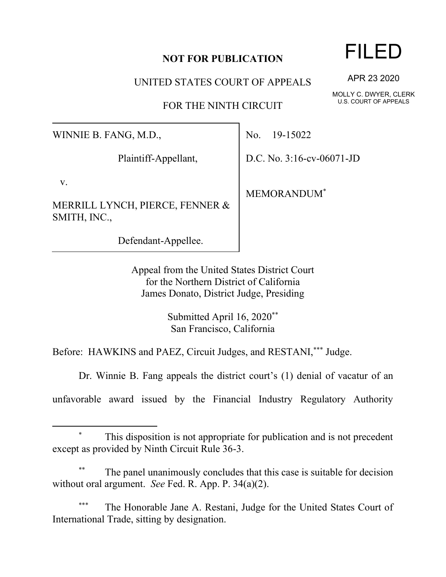## **NOT FOR PUBLICATION**

UNITED STATES COURT OF APPEALS

FOR THE NINTH CIRCUIT

WINNIE B. FANG, M.D.,

Plaintiff-Appellant,

v.

MERRILL LYNCH, PIERCE, FENNER & SMITH, INC.,

Defendant-Appellee.

No. 19-15022

D.C. No. 3:16-cv-06071-JD

MEMORANDUM\*

Appeal from the United States District Court for the Northern District of California James Donato, District Judge, Presiding

> Submitted April 16, 2020\*\* San Francisco, California

Before: HAWKINS and PAEZ, Circuit Judges, and RESTANI,\*\*\* Judge.

Dr. Winnie B. Fang appeals the district court's (1) denial of vacatur of an

unfavorable award issued by the Financial Industry Regulatory Authority

## This disposition is not appropriate for publication and is not precedent except as provided by Ninth Circuit Rule 36-3.

The panel unanimously concludes that this case is suitable for decision without oral argument. *See* Fed. R. App. P. 34(a)(2).

The Honorable Jane A. Restani, Judge for the United States Court of International Trade, sitting by designation.

## FILED

APR 23 2020

MOLLY C. DWYER, CLERK U.S. COURT OF APPEALS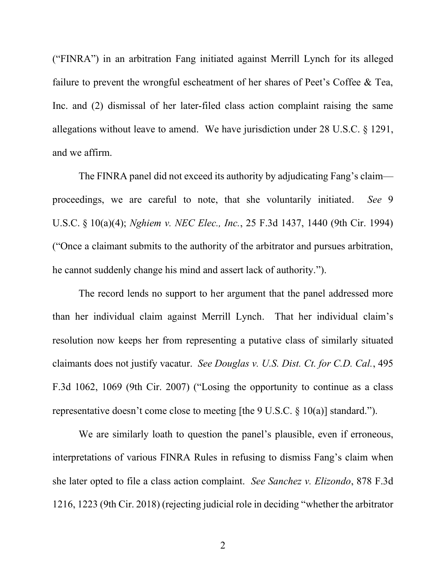("FINRA") in an arbitration Fang initiated against Merrill Lynch for its alleged failure to prevent the wrongful escheatment of her shares of Peet's Coffee & Tea, Inc. and (2) dismissal of her later-filed class action complaint raising the same allegations without leave to amend. We have jurisdiction under 28 U.S.C. § 1291, and we affirm.

The FINRA panel did not exceed its authority by adjudicating Fang's claim proceedings, we are careful to note, that she voluntarily initiated. *See* 9 U.S.C. § 10(a)(4); *Nghiem v. NEC Elec., Inc.*, 25 F.3d 1437, 1440 (9th Cir. 1994) ("Once a claimant submits to the authority of the arbitrator and pursues arbitration, he cannot suddenly change his mind and assert lack of authority.").

The record lends no support to her argument that the panel addressed more than her individual claim against Merrill Lynch. That her individual claim's resolution now keeps her from representing a putative class of similarly situated claimants does not justify vacatur. *See Douglas v. U.S. Dist. Ct. for C.D. Cal.*, 495 F.3d 1062, 1069 (9th Cir. 2007) ("Losing the opportunity to continue as a class representative doesn't come close to meeting [the 9 U.S.C. § 10(a)] standard.").

We are similarly loath to question the panel's plausible, even if erroneous, interpretations of various FINRA Rules in refusing to dismiss Fang's claim when she later opted to file a class action complaint. *See Sanchez v. Elizondo*, 878 F.3d 1216, 1223 (9th Cir. 2018) (rejecting judicial role in deciding "whether the arbitrator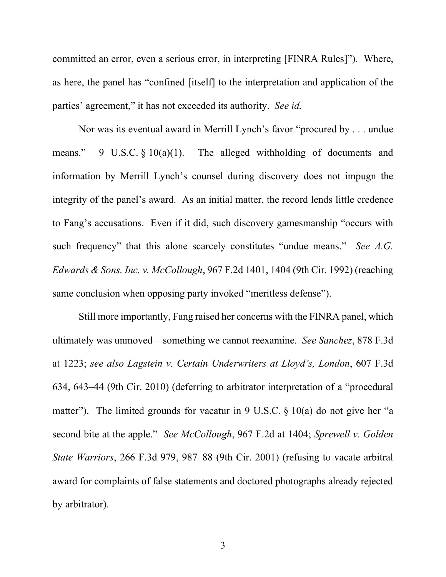committed an error, even a serious error, in interpreting [FINRA Rules]"). Where, as here, the panel has "confined [itself] to the interpretation and application of the parties' agreement," it has not exceeded its authority. *See id.*

Nor was its eventual award in Merrill Lynch's favor "procured by . . . undue means." 9 U.S.C.  $\S$  10(a)(1). The alleged withholding of documents and information by Merrill Lynch's counsel during discovery does not impugn the integrity of the panel's award. As an initial matter, the record lends little credence to Fang's accusations. Even if it did, such discovery gamesmanship "occurs with such frequency" that this alone scarcely constitutes "undue means." *See A.G. Edwards & Sons, Inc. v. McCollough*, 967 F.2d 1401, 1404 (9th Cir. 1992) (reaching same conclusion when opposing party invoked "meritless defense").

Still more importantly, Fang raised her concerns with the FINRA panel, which ultimately was unmoved—something we cannot reexamine. *See Sanchez*, 878 F.3d at 1223; *see also Lagstein v. Certain Underwriters at Lloyd's, London*, 607 F.3d 634, 643–44 (9th Cir. 2010) (deferring to arbitrator interpretation of a "procedural matter"). The limited grounds for vacatur in 9 U.S.C.  $\S$  10(a) do not give her "a second bite at the apple." *See McCollough*, 967 F.2d at 1404; *Sprewell v. Golden State Warriors*, 266 F.3d 979, 987–88 (9th Cir. 2001) (refusing to vacate arbitral award for complaints of false statements and doctored photographs already rejected by arbitrator).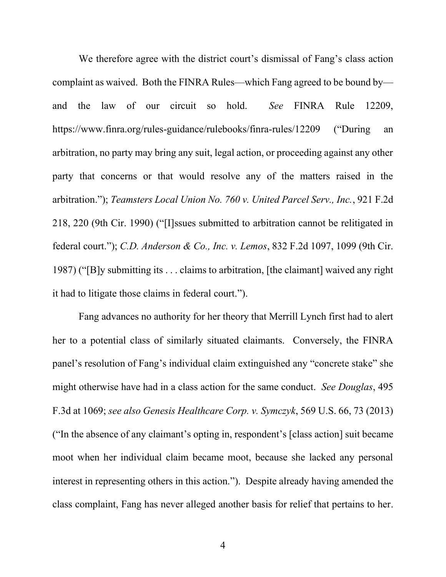We therefore agree with the district court's dismissal of Fang's class action complaint as waived. Both the FINRA Rules—which Fang agreed to be bound by and the law of our circuit so hold. *See* FINRA Rule 12209, https://www.finra.org/rules-guidance/rulebooks/finra-rules/12209 ("During an arbitration, no party may bring any suit, legal action, or proceeding against any other party that concerns or that would resolve any of the matters raised in the arbitration."); *Teamsters Local Union No. 760 v. United Parcel Serv., Inc.*, 921 F.2d 218, 220 (9th Cir. 1990) ("[I]ssues submitted to arbitration cannot be relitigated in federal court."); *C.D. Anderson & Co., Inc. v. Lemos*, 832 F.2d 1097, 1099 (9th Cir. 1987) ("[B]y submitting its . . . claims to arbitration, [the claimant] waived any right it had to litigate those claims in federal court.").

Fang advances no authority for her theory that Merrill Lynch first had to alert her to a potential class of similarly situated claimants. Conversely, the FINRA panel's resolution of Fang's individual claim extinguished any "concrete stake" she might otherwise have had in a class action for the same conduct. *See Douglas*, 495 F.3d at 1069; *see also Genesis Healthcare Corp. v. Symczyk*, 569 U.S. 66, 73 (2013) ("In the absence of any claimant's opting in, respondent's [class action] suit became moot when her individual claim became moot, because she lacked any personal interest in representing others in this action."). Despite already having amended the class complaint, Fang has never alleged another basis for relief that pertains to her.